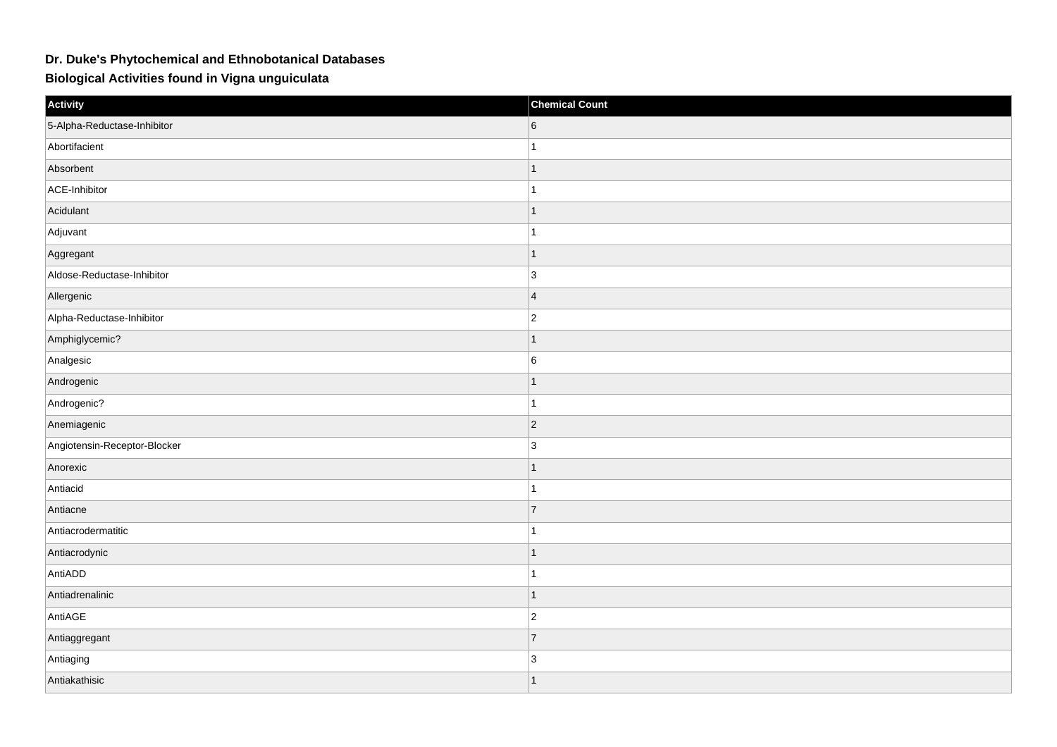## **Dr. Duke's Phytochemical and Ethnobotanical Databases**

**Biological Activities found in Vigna unguiculata**

| Activity                     | <b>Chemical Count</b> |
|------------------------------|-----------------------|
| 5-Alpha-Reductase-Inhibitor  | 6                     |
| Abortifacient                | $\mathbf{1}$          |
| Absorbent                    | $\vert$ 1             |
| ACE-Inhibitor                | $\mathbf{1}$          |
| Acidulant                    | $\mathbf{1}$          |
| Adjuvant                     | $\mathbf{1}$          |
| Aggregant                    | $\mathbf{1}$          |
| Aldose-Reductase-Inhibitor   | 3                     |
| Allergenic                   | 4                     |
| Alpha-Reductase-Inhibitor    | $\vert$ 2             |
| Amphiglycemic?               | $\mathbf{1}$          |
| Analgesic                    | $6\overline{6}$       |
| Androgenic                   | $\mathbf{1}$          |
| Androgenic?                  | $\mathbf{1}$          |
| Anemiagenic                  | $\vert$ 2             |
| Angiotensin-Receptor-Blocker | 3                     |
| Anorexic                     | $\mathbf{1}$          |
| Antiacid                     | $\mathbf{1}$          |
| Antiacne                     | $\overline{7}$        |
| Antiacrodermatitic           | $\mathbf{1}$          |
| Antiacrodynic                | $\mathbf{1}$          |
| AntiADD                      | $\vert$ 1             |
| Antiadrenalinic              | $\mathbf{1}$          |
| AntiAGE                      | $ 2\rangle$           |
| Antiaggregant                | $\overline{7}$        |
| Antiaging                    | $\vert$ 3             |
| Antiakathisic                | $\vert$ 1             |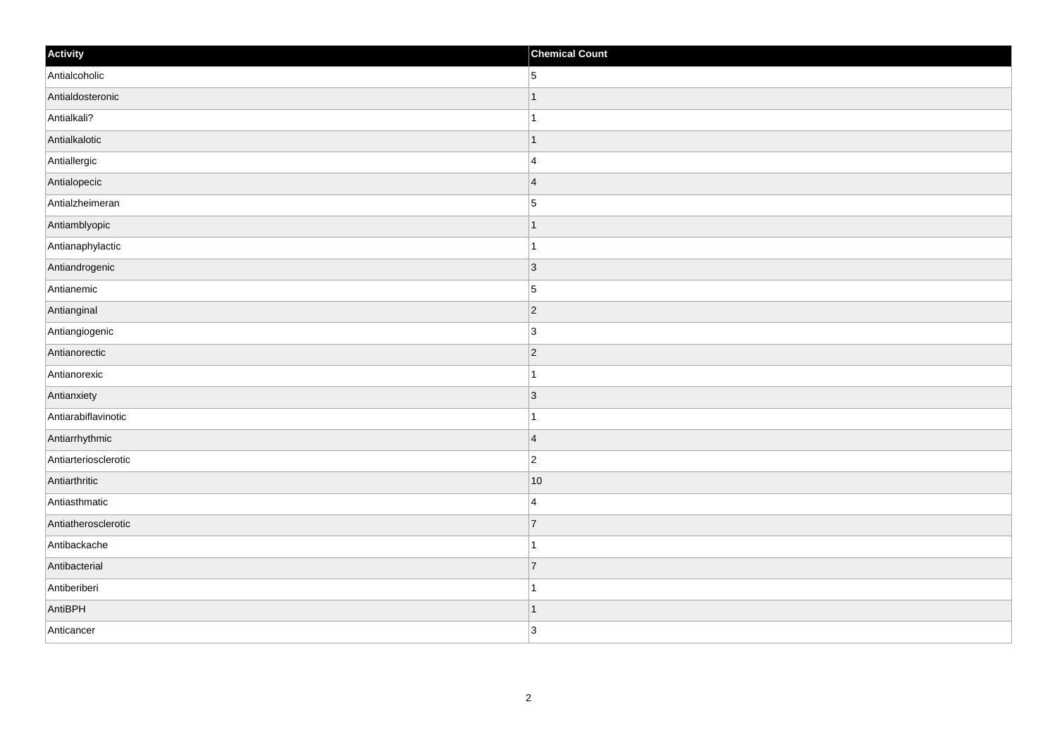| Activity             | <b>Chemical Count</b> |
|----------------------|-----------------------|
| Antialcoholic        | 5                     |
| Antialdosteronic     | $\mathbf 1$           |
| Antialkali?          | 1                     |
| Antialkalotic        | $\vert$ 1             |
| Antiallergic         | $\overline{4}$        |
| Antialopecic         | $\overline{4}$        |
| Antialzheimeran      | $\overline{5}$        |
| Antiamblyopic        | $\mathbf 1$           |
| Antianaphylactic     | 1                     |
| Antiandrogenic       | $ 3\rangle$           |
| Antianemic           | 5                     |
| Antianginal          | $ 2\rangle$           |
| Antiangiogenic       | $\overline{3}$        |
| Antianorectic        | $\overline{2}$        |
| Antianorexic         |                       |
| Antianxiety          | $ 3\rangle$           |
| Antiarabiflavinotic  | 1                     |
| Antiarrhythmic       | $\overline{4}$        |
| Antiarteriosclerotic | $\overline{2}$        |
| Antiarthritic        | 10                    |
| Antiasthmatic        | $\overline{4}$        |
| Antiatherosclerotic  | 7                     |
| Antibackache         | 1                     |
| Antibacterial        | $\overline{7}$        |
| Antiberiberi         | $\overline{1}$        |
| AntiBPH              | $\vert$ 1             |
| Anticancer           | 3                     |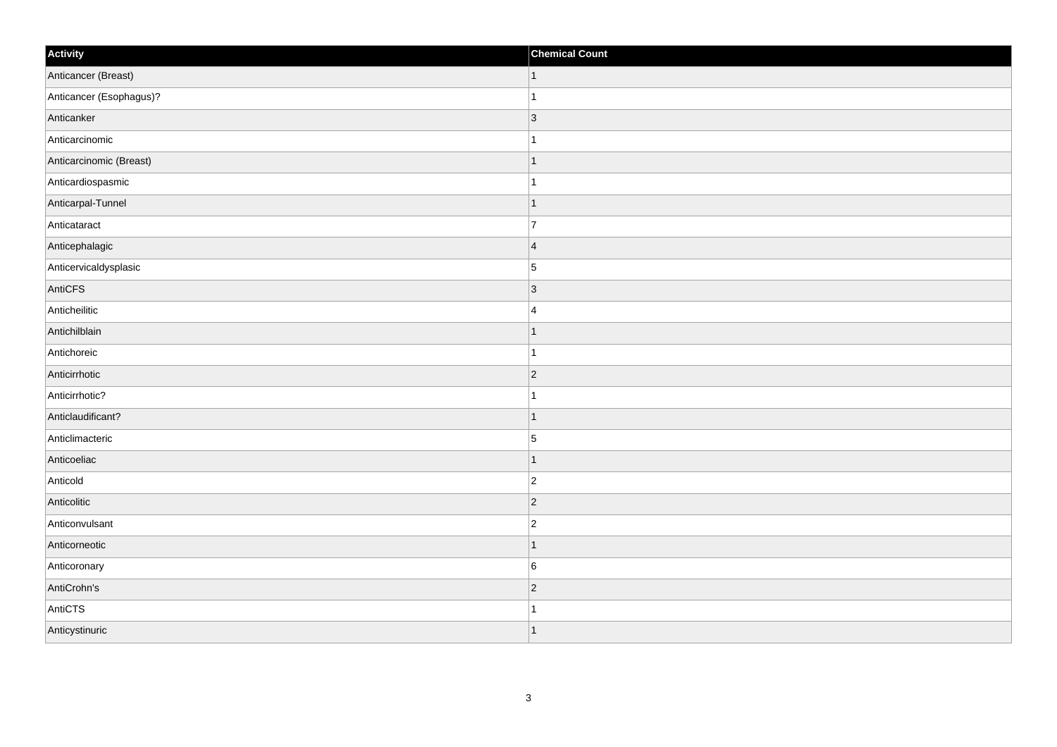| Activity                | <b>Chemical Count</b> |
|-------------------------|-----------------------|
| Anticancer (Breast)     | $\vert$ 1             |
| Anticancer (Esophagus)? | $\mathbf{1}$          |
| Anticanker              | 3                     |
| Anticarcinomic          | $\mathbf{1}$          |
| Anticarcinomic (Breast) | $\mathbf{1}$          |
| Anticardiospasmic       | $\mathbf{1}$          |
| Anticarpal-Tunnel       | $\vert$ 1             |
| Anticataract            | $\overline{7}$        |
| Anticephalagic          | 4                     |
| Anticervicaldysplasic   | $\overline{5}$        |
| AntiCFS                 | $\vert$ 3             |
| Anticheilitic           | 4                     |
| Antichilblain           | $\vert$ 1             |
| Antichoreic             | $\vert$ 1             |
| Anticirrhotic           | $ 2\rangle$           |
| Anticirrhotic?          | $\mathbf{1}$          |
| Anticlaudificant?       | $\vert$ 1             |
| Anticlimacteric         | 5                     |
| Anticoeliac             | $\vert$ 1             |
| Anticold                | $ 2\rangle$           |
| Anticolitic             | $ 2\rangle$           |
| Anticonvulsant          | $\vert$ 2             |
| Anticorneotic           | $\mathbf{1}$          |
| Anticoronary            | $6\overline{6}$       |
| AntiCrohn's             | $ 2\rangle$           |
| AntiCTS                 | $\mathbf{1}$          |
| Anticystinuric          | $\vert$ 1             |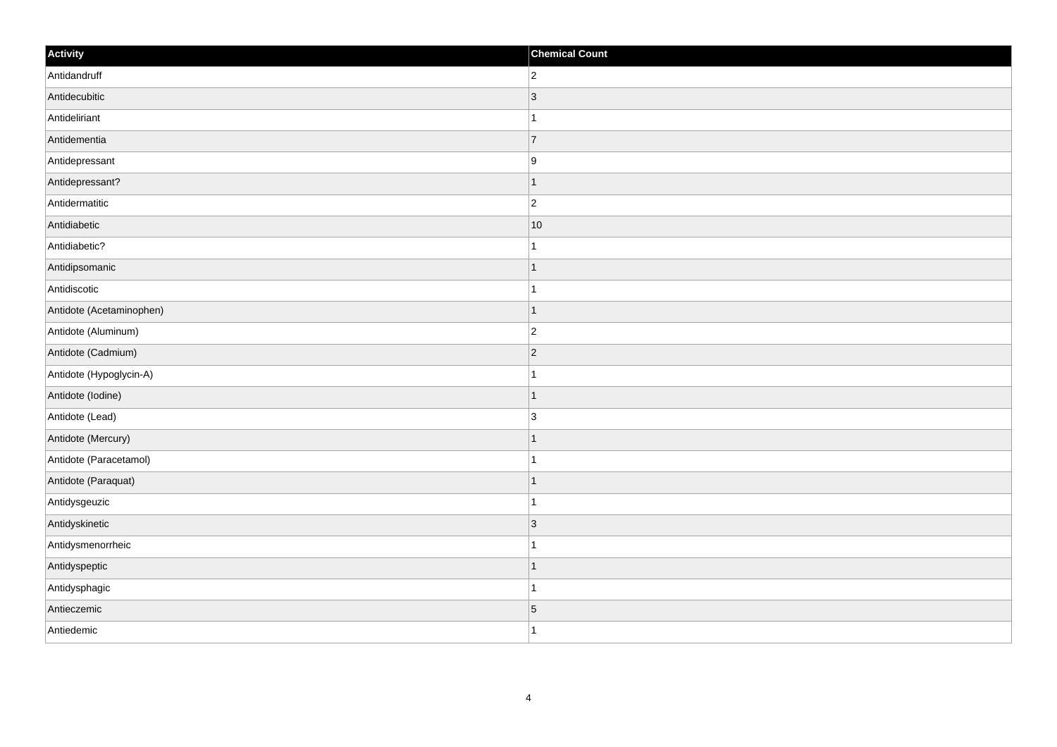| Activity                 | <b>Chemical Count</b> |
|--------------------------|-----------------------|
| Antidandruff             | $ 2\rangle$           |
| Antidecubitic            | $\vert$ 3             |
| Antideliriant            | $\mathbf{1}$          |
| Antidementia             | $\overline{7}$        |
| Antidepressant           | 9                     |
| Antidepressant?          | $\mathbf{1}$          |
| Antidermatitic           | $ 2\rangle$           |
| Antidiabetic             | 10                    |
| Antidiabetic?            | $\mathbf{1}$          |
| Antidipsomanic           | $\vert$ 1             |
| Antidiscotic             | $\mathbf{1}$          |
| Antidote (Acetaminophen) | $\mathbf{1}$          |
| Antidote (Aluminum)      | $ 2\rangle$           |
| Antidote (Cadmium)       | $\overline{2}$        |
| Antidote (Hypoglycin-A)  | $\mathbf{1}$          |
| Antidote (lodine)        | $\vert$ 1             |
| Antidote (Lead)          | $\vert$ 3             |
| Antidote (Mercury)       | $\mathbf{1}$          |
| Antidote (Paracetamol)   | $\mathbf{1}$          |
| Antidote (Paraquat)      | $\mathbf{1}$          |
| Antidysgeuzic            | $\mathbf{1}$          |
| Antidyskinetic           | $ 3\rangle$           |
| Antidysmenorrheic        | $\mathbf{1}$          |
| Antidyspeptic            | $\mathbf{1}$          |
| Antidysphagic            | $\mathbf{1}$          |
| Antieczemic              | $\overline{5}$        |
| Antiedemic               | $\vert$ 1             |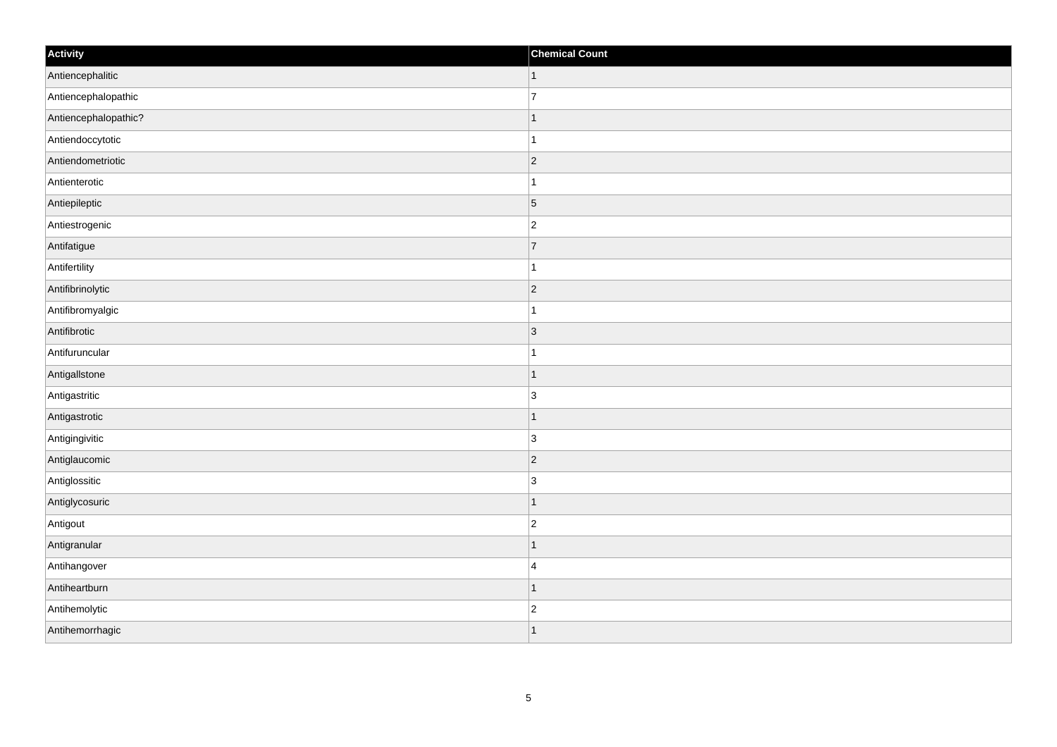| Activity             | <b>Chemical Count</b> |
|----------------------|-----------------------|
| Antiencephalitic     | $\vert$ 1             |
| Antiencephalopathic  | 7                     |
| Antiencephalopathic? | $\mathbf{1}$          |
| Antiendoccytotic     | $\mathbf{1}$          |
| Antiendometriotic    | $ 2\rangle$           |
| Antienterotic        | $\mathbf{1}$          |
| Antiepileptic        | $\overline{5}$        |
| Antiestrogenic       | $ 2\rangle$           |
| Antifatigue          | 7                     |
| Antifertility        | $\mathbf{1}$          |
| Antifibrinolytic     | $ 2\rangle$           |
| Antifibromyalgic     | $\mathbf{1}$          |
| Antifibrotic         | $ 3\rangle$           |
| Antifuruncular       | $\vert$ 1             |
| AntigalIstone        | $\vert$ 1             |
| Antigastritic        | 3                     |
| Antigastrotic        | $\mathbf{1}$          |
| Antigingivitic       | $ 3\rangle$           |
| Antiglaucomic        | $ 2\rangle$           |
| Antiglossitic        | 3                     |
| Antiglycosuric       | $\vert$ 1             |
| Antigout             | $\vert$ 2             |
| Antigranular         | $\mathbf{1}$          |
| Antihangover         | $\vert$ 4             |
| Antiheartburn        | $\vert$ 1             |
| Antihemolytic        | $\overline{2}$        |
| Antihemorrhagic      | $\vert$ 1             |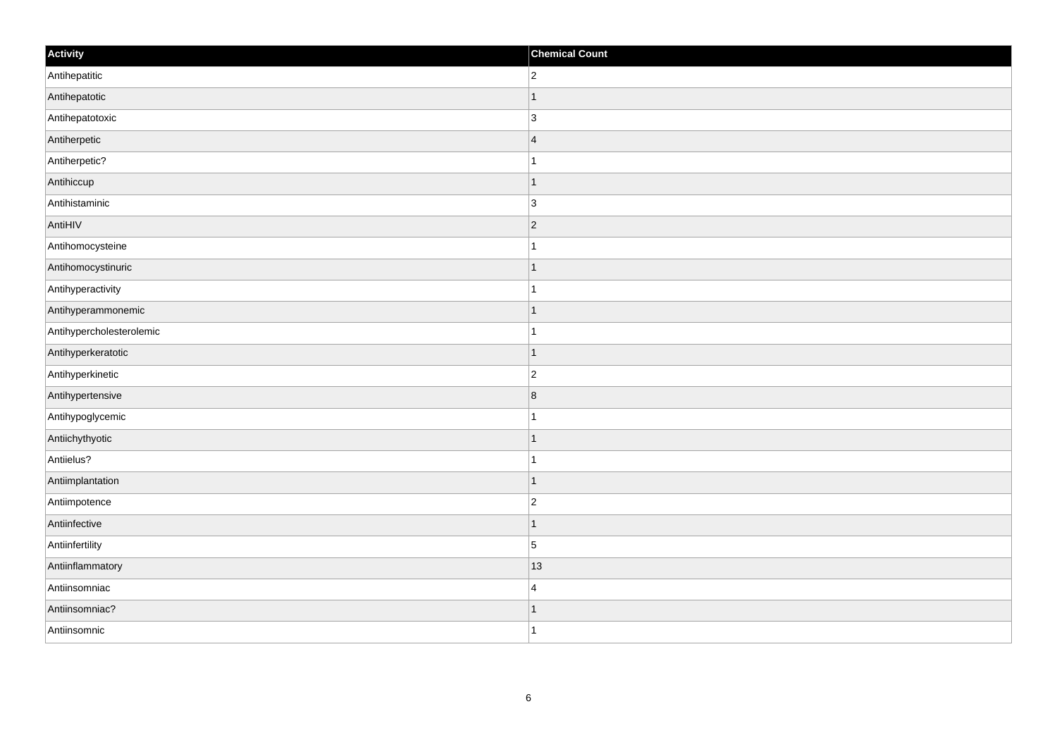| Activity                 | <b>Chemical Count</b> |
|--------------------------|-----------------------|
| Antihepatitic            | $\overline{2}$        |
| Antihepatotic            |                       |
| Antihepatotoxic          | $\overline{3}$        |
| Antiherpetic             | $\overline{4}$        |
| Antiherpetic?            | $\mathbf{1}$          |
| Antihiccup               | $\mathbf 1$           |
| Antihistaminic           | $\overline{3}$        |
| AntiHIV                  | $\overline{2}$        |
| Antihomocysteine         |                       |
| Antihomocystinuric       | $\mathbf 1$           |
| Antihyperactivity        | $\mathbf{1}$          |
| Antihyperammonemic       | 1                     |
| Antihypercholesterolemic | $\mathbf 1$           |
| Antihyperkeratotic       | $\mathbf 1$           |
| Antihyperkinetic         | $\overline{c}$        |
| Antihypertensive         | 8                     |
| Antihypoglycemic         | 1                     |
| Antiichythyotic          | $\mathbf 1$           |
| Antiielus?               | 1                     |
| Antiimplantation         | $\vert$ 1             |
| Antiimpotence            | $\overline{c}$        |
| Antiinfective            | $\vert$ 1             |
| Antiinfertility          | 5                     |
| Antiinflammatory         | 13                    |
| Antiinsomniac            | $\overline{4}$        |
| Antiinsomniac?           | 1                     |
| Antiinsomnic             | $\overline{1}$        |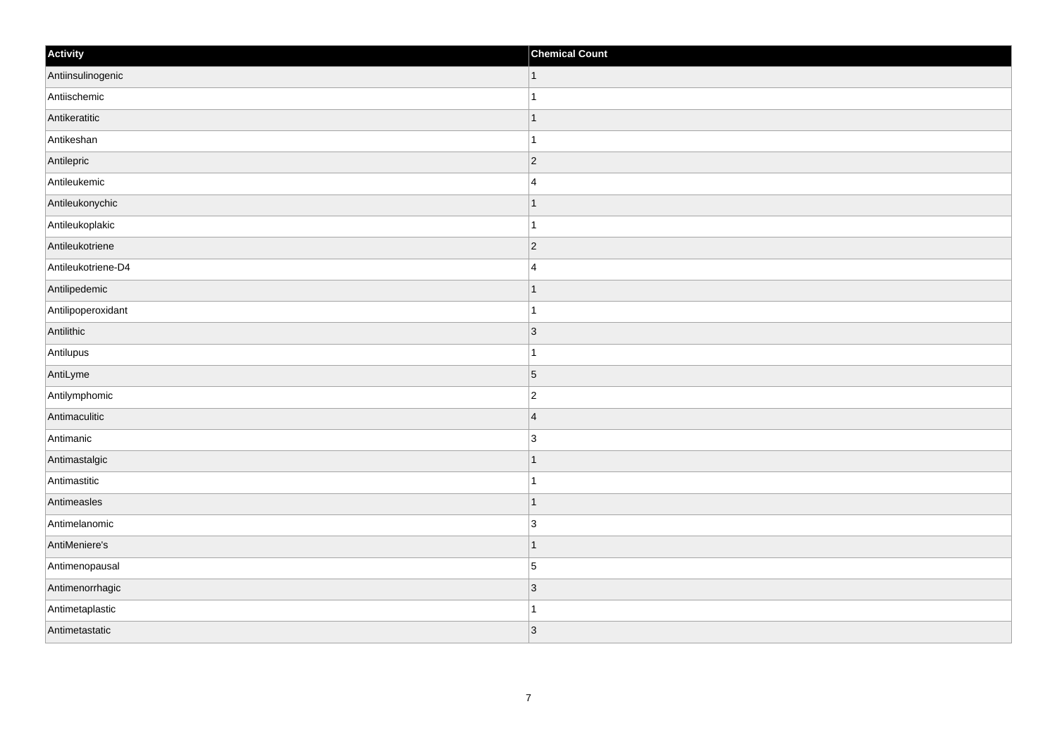| Activity           | <b>Chemical Count</b>    |
|--------------------|--------------------------|
| Antiinsulinogenic  | $\vert$ 1                |
| Antiischemic       |                          |
| Antikeratitic      | f.                       |
| Antikeshan         |                          |
| Antilepric         | $\overline{2}$           |
| Antileukemic       | $\overline{4}$           |
| Antileukonychic    | $\vert$ 1                |
| Antileukoplakic    | $\overline{1}$           |
| Antileukotriene    | $ 2\rangle$              |
| Antileukotriene-D4 | $\overline{4}$           |
| Antilipedemic      | $\overline{\phantom{a}}$ |
| Antilipoperoxidant |                          |
| Antilithic         | $\vert$ 3                |
| Antilupus          | 1                        |
| AntiLyme           | $\overline{5}$           |
| Antilymphomic      | $\overline{c}$           |
| Antimaculitic      | $\overline{4}$           |
| Antimanic          | 3                        |
| Antimastalgic      | $\mathbf 1$              |
| Antimastitic       | 1                        |
| Antimeasles        | 11                       |
| Antimelanomic      | $\overline{3}$           |
| AntiMeniere's      | 1                        |
| Antimenopausal     | $\overline{5}$           |
| Antimenorrhagic    | $\vert$ 3                |
| Antimetaplastic    |                          |
| Antimetastatic     | 3                        |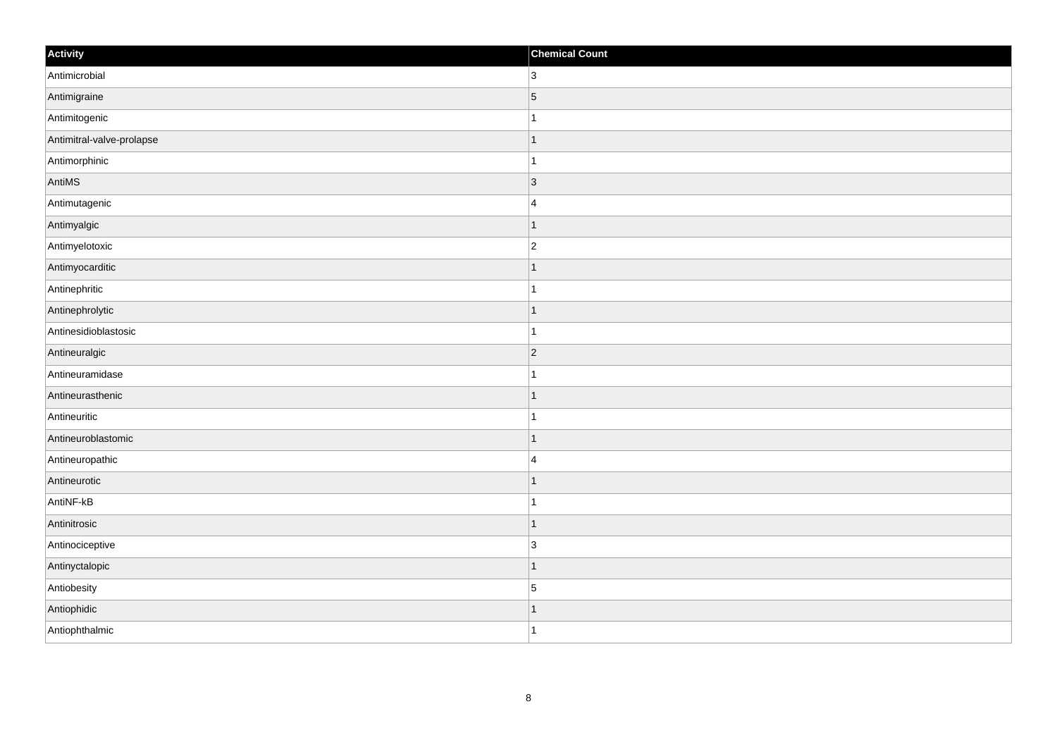| Activity                  | <b>Chemical Count</b> |
|---------------------------|-----------------------|
| Antimicrobial             | 3 <sup>1</sup>        |
| Antimigraine              | 5                     |
| Antimitogenic             | 1                     |
| Antimitral-valve-prolapse | $\mathbf 1$           |
| Antimorphinic             | $\mathbf{1}$          |
| AntiMS                    | 3                     |
| Antimutagenic             | $\overline{4}$        |
| Antimyalgic               | $\mathbf 1$           |
| Antimyelotoxic            | $\overline{2}$        |
| Antimyocarditic           | $\overline{1}$        |
| Antinephritic             | $\overline{1}$        |
| Antinephrolytic           | $\mathbf 1$           |
| Antinesidioblastosic      | $\mathbf{1}$          |
| Antineuralgic             | $ 2\rangle$           |
| Antineuramidase           |                       |
| Antineurasthenic          | $\mathbf{1}$          |
| Antineuritic              | $\mathbf 1$           |
| Antineuroblastomic        | $\vert$ 1             |
| Antineuropathic           | $\overline{4}$        |
| Antineurotic              | 1                     |
| AntiNF-kB                 | $\overline{1}$        |
| Antinitrosic              | $\vert$ 1             |
| Antinociceptive           | 3                     |
| Antinyctalopic            | $\mathbf 1$           |
| Antiobesity               | $\vert$ 5             |
| Antiophidic               | 1                     |
| Antiophthalmic            | $\overline{1}$        |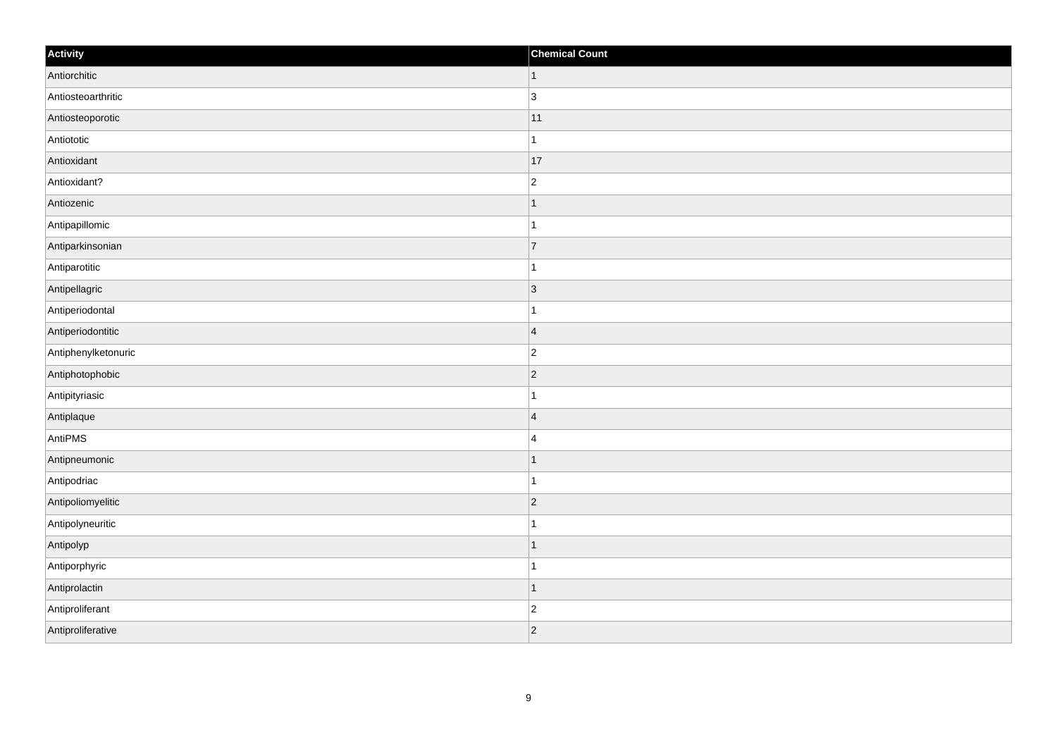| Activity            | <b>Chemical Count</b>   |
|---------------------|-------------------------|
| Antiorchitic        | $\vert$ 1               |
| Antiosteoarthritic  | $ 3\rangle$             |
| Antiosteoporotic    | 11                      |
| Antiototic          | $\mathbf{1}$            |
| Antioxidant         | 17                      |
| Antioxidant?        | $\overline{c}$          |
| Antiozenic          | $\vert$ 1               |
| Antipapillomic      | $\overline{1}$          |
| Antiparkinsonian    | 7                       |
| Antiparotitic       | $\mathbf{1}$            |
| Antipellagric       | $ 3\rangle$             |
| Antiperiodontal     |                         |
| Antiperiodontitic   | $\overline{\mathbf{4}}$ |
| Antiphenylketonuric | $\overline{c}$          |
| Antiphotophobic     | $ 2\rangle$             |
| Antipityriasic      | $\mathbf{1}$            |
| Antiplaque          | $\overline{4}$          |
| AntiPMS             | $\overline{4}$          |
| Antipneumonic       | $\vert$ 1               |
| Antipodriac         | $\mathbf{1}$            |
| Antipoliomyelitic   | $ 2\rangle$             |
| Antipolyneuritic    | $\mathbf{1}$            |
| Antipolyp           | $\vert$ 1               |
| Antiporphyric       | $\mathbf 1$             |
| Antiprolactin       | $\mathbf{1}$            |
| Antiproliferant     | $\overline{c}$          |
| Antiproliferative   | $ 2\rangle$             |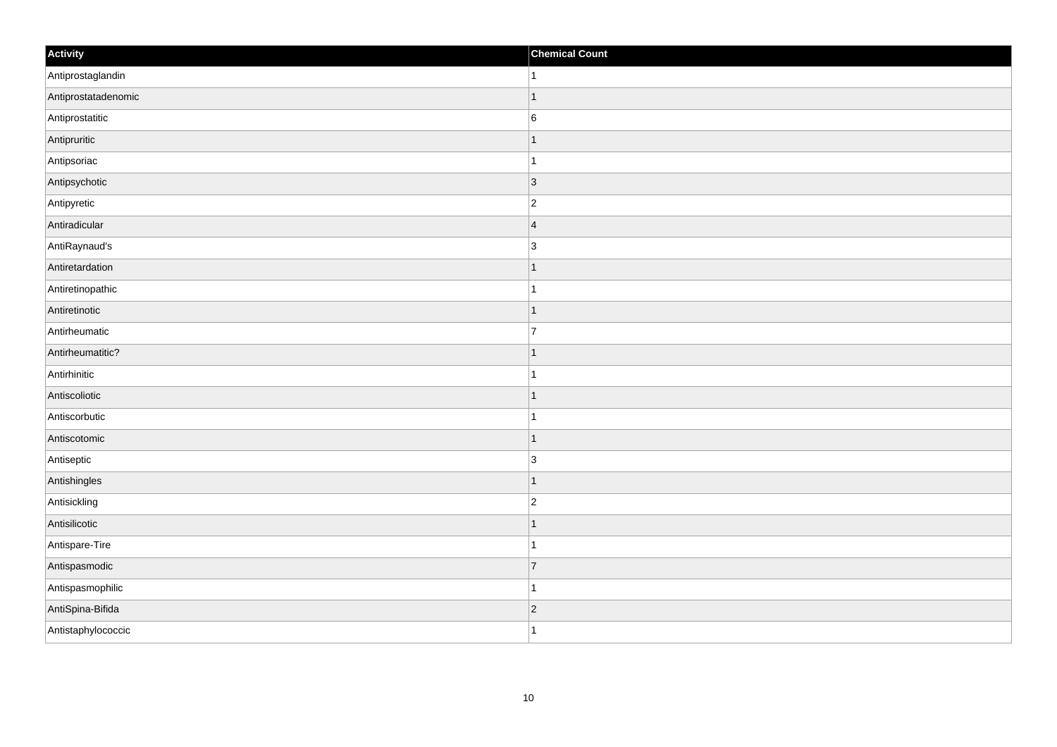| Activity            | <b>Chemical Count</b> |
|---------------------|-----------------------|
| Antiprostaglandin   | $\vert$ 1             |
| Antiprostatadenomic | $\mathbf{1}$          |
| Antiprostatitic     | $\vert 6$             |
| Antipruritic        | $\vert$ 1             |
| Antipsoriac         | $\vert$ 1             |
| Antipsychotic       | $ 3\rangle$           |
| Antipyretic         | $ 2\rangle$           |
| Antiradicular       | 4                     |
| AntiRaynaud's       | 3                     |
| Antiretardation     | $\vert$ 1             |
| Antiretinopathic    | $\vert$ 1             |
| Antiretinotic       | $\vert$ 1             |
| Antirheumatic       | $\overline{7}$        |
| Antirheumatitic?    | $\mathbf{1}$          |
| Antirhinitic        | $\mathbf{1}$          |
| Antiscoliotic       | $\vert$ 1             |
| Antiscorbutic       | $\vert$ 1             |
| Antiscotomic        | $\vert$ 1             |
| Antiseptic          | $ 3\rangle$           |
| Antishingles        | $\vert$ 1             |
| Antisickling        | $ 2\rangle$           |
| Antisilicotic       | $\vert$ 1             |
| Antispare-Tire      | $\vert$ 1             |
| Antispasmodic       | $\overline{7}$        |
| Antispasmophilic    | $\mathbf{1}$          |
| AntiSpina-Bifida    | $ 2\rangle$           |
| Antistaphylococcic  | $\vert$ 1             |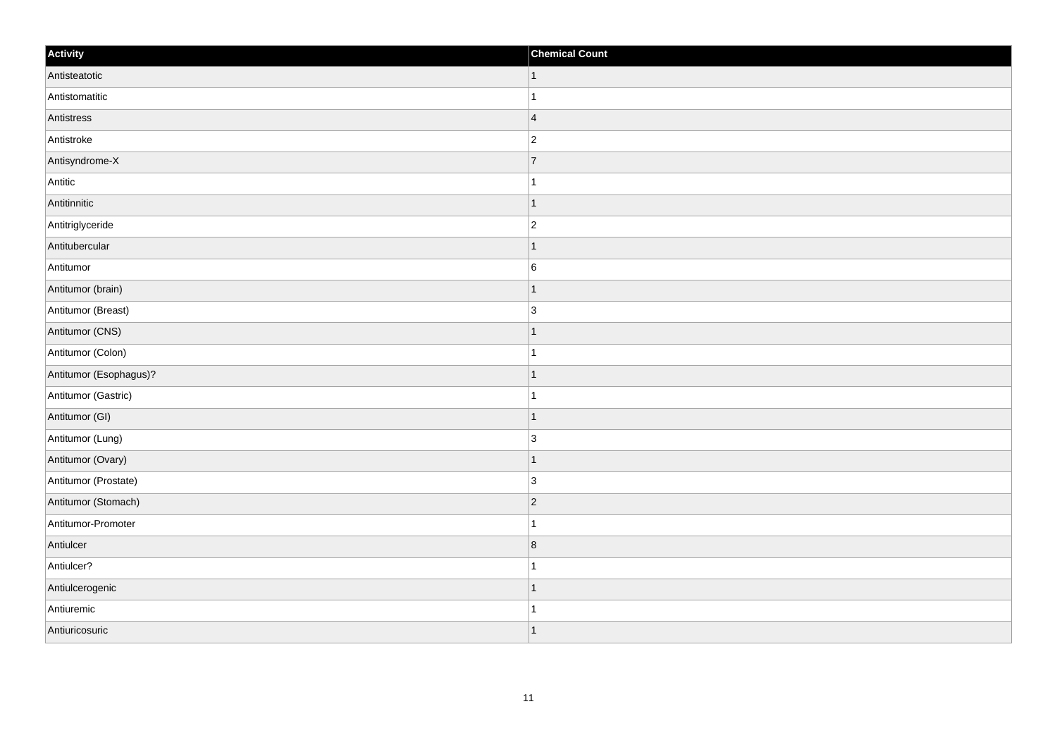| Activity               | <b>Chemical Count</b>   |
|------------------------|-------------------------|
| Antisteatotic          | $\vert$ 1               |
| Antistomatitic         |                         |
| Antistress             | $\vert 4 \vert$         |
| Antistroke             | $\overline{2}$          |
| Antisyndrome-X         | $\overline{7}$          |
| Antitic                |                         |
| Antitinnitic           | $\vert$ 1               |
| Antitriglyceride       | $\overline{2}$          |
| Antitubercular         |                         |
| Antitumor              | $\sf 6$                 |
| Antitumor (brain)      |                         |
| Antitumor (Breast)     | $\overline{3}$          |
| Antitumor (CNS)        | 1                       |
| Antitumor (Colon)      | 1                       |
| Antitumor (Esophagus)? |                         |
| Antitumor (Gastric)    |                         |
| Antitumor (GI)         | -1                      |
| Antitumor (Lung)       | 3                       |
| Antitumor (Ovary)      | $\overline{1}$          |
| Antitumor (Prostate)   | $\overline{3}$          |
| Antitumor (Stomach)    | $\vert$ 2               |
| Antitumor-Promoter     |                         |
| Antiulcer              | $\overline{\mathbf{8}}$ |
| Antiulcer?             |                         |
| Antiulcerogenic        | 1                       |
| Antiuremic             |                         |
| Antiuricosuric         |                         |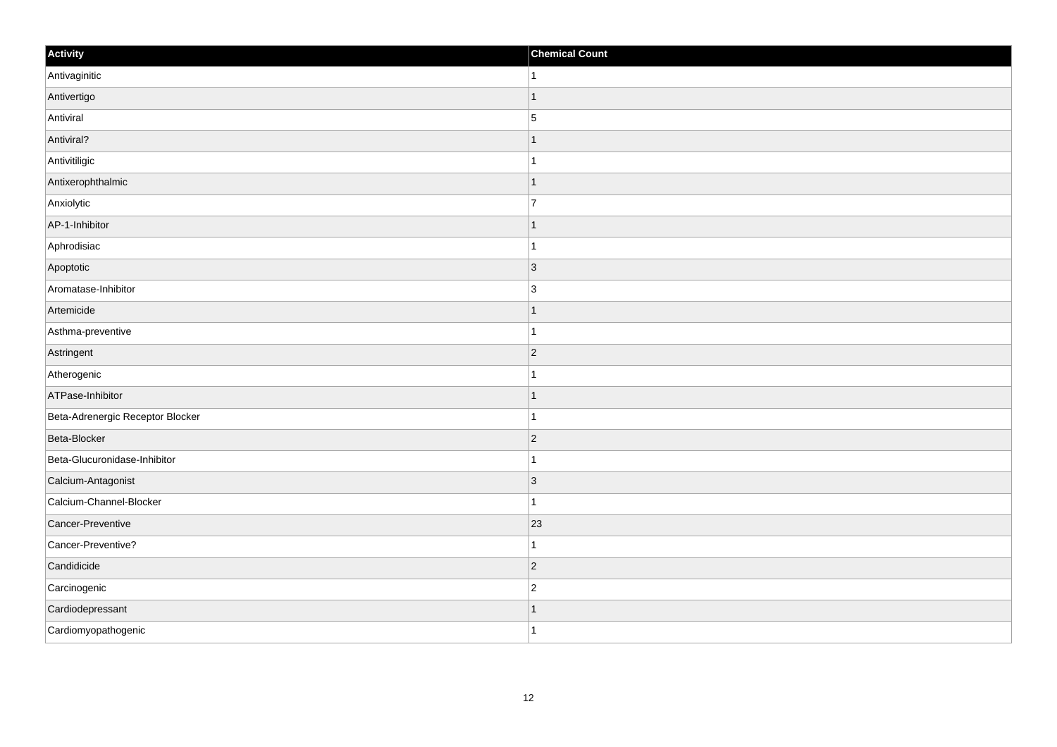| Activity                         | <b>Chemical Count</b> |
|----------------------------------|-----------------------|
| Antivaginitic                    |                       |
| Antivertigo                      |                       |
| Antiviral                        | $\overline{5}$        |
| Antiviral?                       |                       |
| Antivitiligic                    | -1                    |
| Antixerophthalmic                |                       |
| Anxiolytic                       | $\overline{7}$        |
| AP-1-Inhibitor                   |                       |
| Aphrodisiac                      |                       |
| Apoptotic                        | $\vert 3 \vert$       |
| Aromatase-Inhibitor              | $\overline{3}$        |
| Artemicide                       |                       |
| Asthma-preventive                |                       |
| Astringent                       | $\overline{2}$        |
| Atherogenic                      |                       |
| ATPase-Inhibitor                 | -1                    |
| Beta-Adrenergic Receptor Blocker | 1                     |
| Beta-Blocker                     | $ 2\rangle$           |
| Beta-Glucuronidase-Inhibitor     |                       |
| Calcium-Antagonist               | $\vert$ 3             |
| Calcium-Channel-Blocker          | -1                    |
| Cancer-Preventive                | 23                    |
| Cancer-Preventive?               |                       |
| Candidicide                      | $\vert$ 2             |
| Carcinogenic                     | $\overline{2}$        |
| Cardiodepressant                 |                       |
| Cardiomyopathogenic              | -1                    |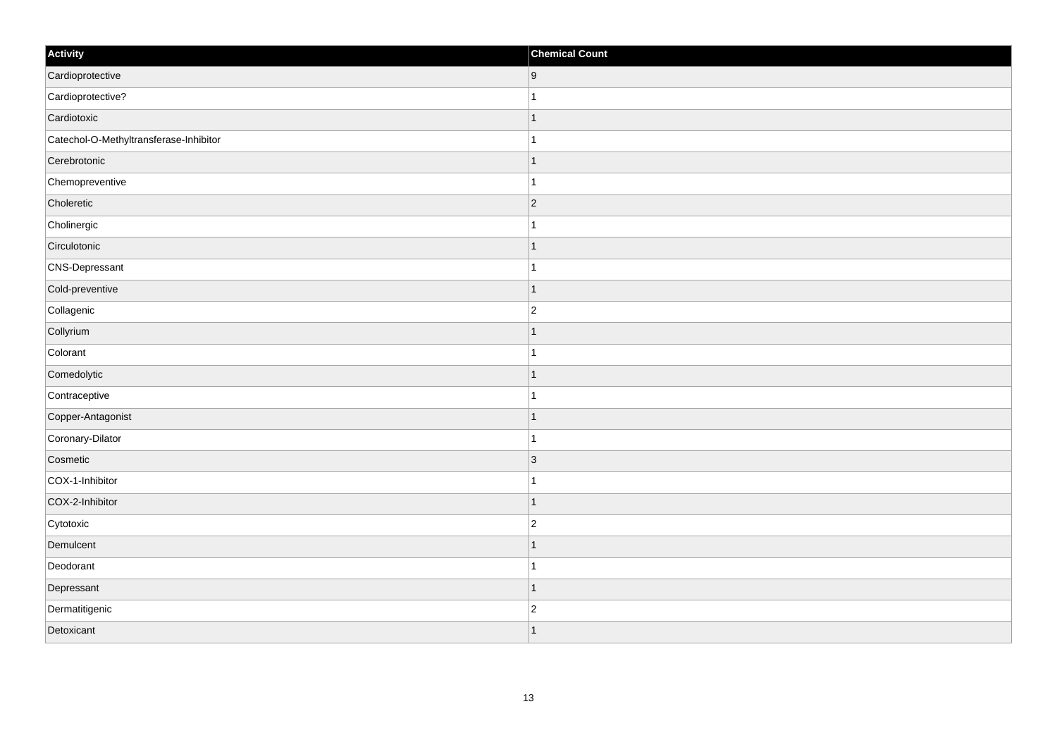| Activity                               | <b>Chemical Count</b> |
|----------------------------------------|-----------------------|
| Cardioprotective                       | 9                     |
| Cardioprotective?                      |                       |
| Cardiotoxic                            |                       |
| Catechol-O-Methyltransferase-Inhibitor | $\mathbf{1}$          |
| Cerebrotonic                           |                       |
| Chemopreventive                        | 1                     |
| Choleretic                             | $ 2\rangle$           |
| Cholinergic                            | 1                     |
| Circulotonic                           | -1                    |
| CNS-Depressant                         | $\mathbf{1}$          |
| Cold-preventive                        | $\mathbf 1$           |
| Collagenic                             | $\overline{2}$        |
| Collyrium                              | $\mathbf 1$           |
| Colorant                               | $\mathbf{1}$          |
| Comedolytic                            | $\mathbf 1$           |
| Contraceptive                          | 1                     |
| Copper-Antagonist                      | 1                     |
| Coronary-Dilator                       | $\overline{1}$        |
| Cosmetic                               | $ 3\rangle$           |
| COX-1-Inhibitor                        | 1                     |
| COX-2-Inhibitor                        | $\overline{1}$        |
| Cytotoxic                              | $\overline{c}$        |
| Demulcent                              | -1                    |
| Deodorant                              | -1                    |
| Depressant                             | $\mathbf{1}$          |
| Dermatitigenic                         | $\overline{c}$        |
| Detoxicant                             | $\overline{1}$        |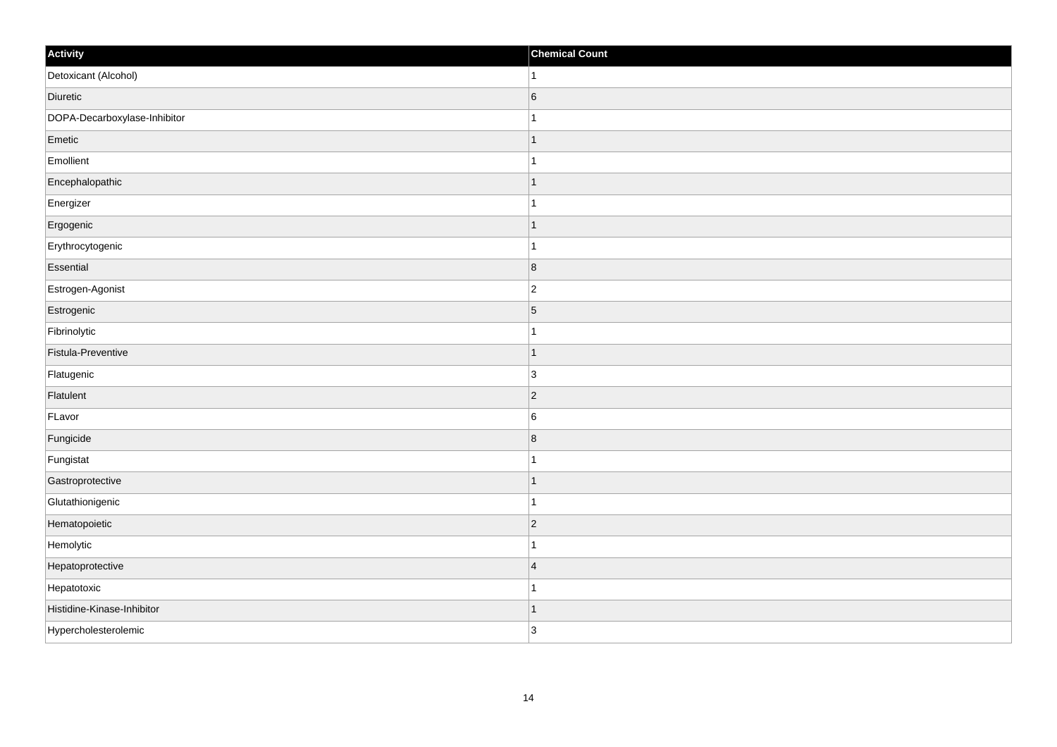| Activity                     | <b>Chemical Count</b> |
|------------------------------|-----------------------|
| Detoxicant (Alcohol)         | $\vert$ 1             |
| Diuretic                     | $6\phantom{a}$        |
| DOPA-Decarboxylase-Inhibitor |                       |
| Emetic                       | $\mathbf{1}$          |
| Emollient                    | $\overline{1}$        |
| Encephalopathic              | -1                    |
| Energizer                    | 1                     |
| Ergogenic                    | $\mathbf 1$           |
| Erythrocytogenic             | 1                     |
| Essential                    | 8                     |
| Estrogen-Agonist             | $\overline{c}$        |
| Estrogenic                   | $\vert 5 \vert$       |
| Fibrinolytic                 | $\mathbf{1}$          |
| Fistula-Preventive           | $\mathbf 1$           |
| Flatugenic                   | 3                     |
| Flatulent                    | $ 2\rangle$           |
| FLavor                       | $\,6$                 |
| Fungicide                    | 8                     |
| Fungistat                    | 1                     |
| Gastroprotective             | 1                     |
| Glutathionigenic             | $\mathbf{1}$          |
| Hematopoietic                | $ 2\rangle$           |
| Hemolytic                    | 1                     |
| Hepatoprotective             | $\overline{4}$        |
| Hepatotoxic                  | $\overline{1}$        |
| Histidine-Kinase-Inhibitor   | 1                     |
| Hypercholesterolemic         | 3                     |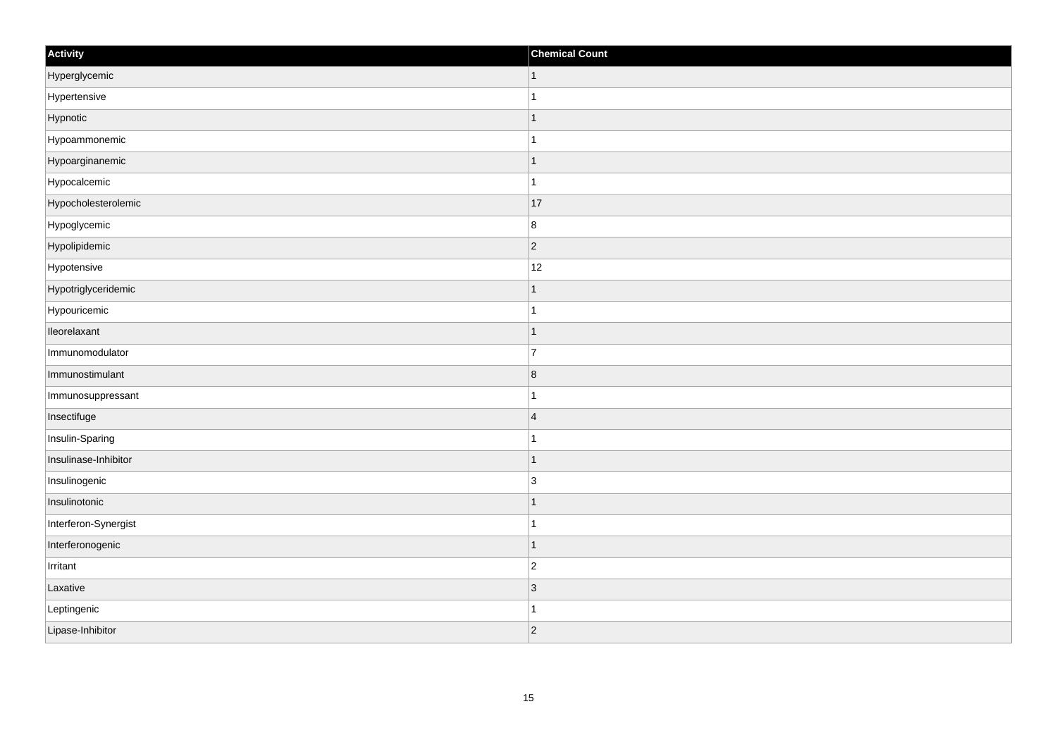| Activity             | <b>Chemical Count</b> |
|----------------------|-----------------------|
| Hyperglycemic        | $\vert$ 1             |
| Hypertensive         | $\overline{1}$        |
| Hypnotic             | 1                     |
| Hypoammonemic        | 1                     |
| Hypoarginanemic      | $\mathbf 1$           |
| Hypocalcemic         | 1                     |
| Hypocholesterolemic  | 17                    |
| Hypoglycemic         | $\boldsymbol{8}$      |
| Hypolipidemic        | $ 2\rangle$           |
| Hypotensive          | 12                    |
| Hypotriglyceridemic  |                       |
| Hypouricemic         |                       |
| lleorelaxant         | $\mathbf 1$           |
| Immunomodulator      | $\overline{7}$        |
| Immunostimulant      | 8                     |
| Immunosuppressant    | $\mathbf{1}$          |
| Insectifuge          | $\overline{4}$        |
| Insulin-Sparing      |                       |
| Insulinase-Inhibitor | $\vert$ 1             |
| Insulinogenic        | $\overline{3}$        |
| Insulinotonic        | $\mathbf 1$           |
| Interferon-Synergist | $\mathbf{1}$          |
| Interferonogenic     | $\vert$ 1             |
| Irritant             | $\overline{c}$        |
| Laxative             | 3                     |
| Leptingenic          | 1                     |
| Lipase-Inhibitor     | $ 2\rangle$           |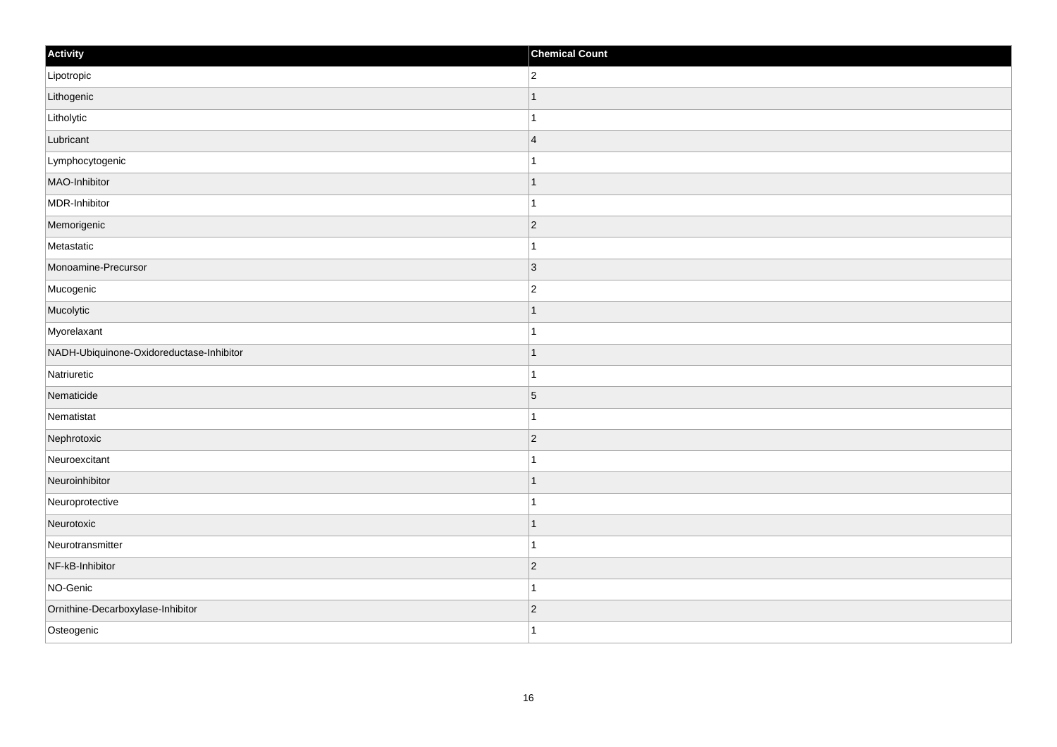| Activity                                 | <b>Chemical Count</b> |
|------------------------------------------|-----------------------|
| Lipotropic                               | $\overline{2}$        |
| Lithogenic                               |                       |
| Litholytic                               |                       |
| Lubricant                                | $\overline{4}$        |
| Lymphocytogenic                          |                       |
| MAO-Inhibitor                            |                       |
| MDR-Inhibitor                            |                       |
| Memorigenic                              | $\overline{2}$        |
| Metastatic                               |                       |
| Monoamine-Precursor                      | $\vert 3 \vert$       |
| Mucogenic                                | $\overline{2}$        |
| Mucolytic                                |                       |
| Myorelaxant                              |                       |
| NADH-Ubiquinone-Oxidoreductase-Inhibitor |                       |
| Natriuretic                              |                       |
| Nematicide                               | $\overline{5}$        |
| Nematistat                               |                       |
| Nephrotoxic                              | $\vert$ 2             |
| Neuroexcitant                            |                       |
| Neuroinhibitor                           |                       |
| Neuroprotective                          |                       |
| Neurotoxic                               | -1                    |
| Neurotransmitter                         |                       |
| NF-kB-Inhibitor                          | $\vert$ 2             |
| NO-Genic                                 | -1                    |
| Ornithine-Decarboxylase-Inhibitor        | $\vert$ 2             |
| Osteogenic                               | 1                     |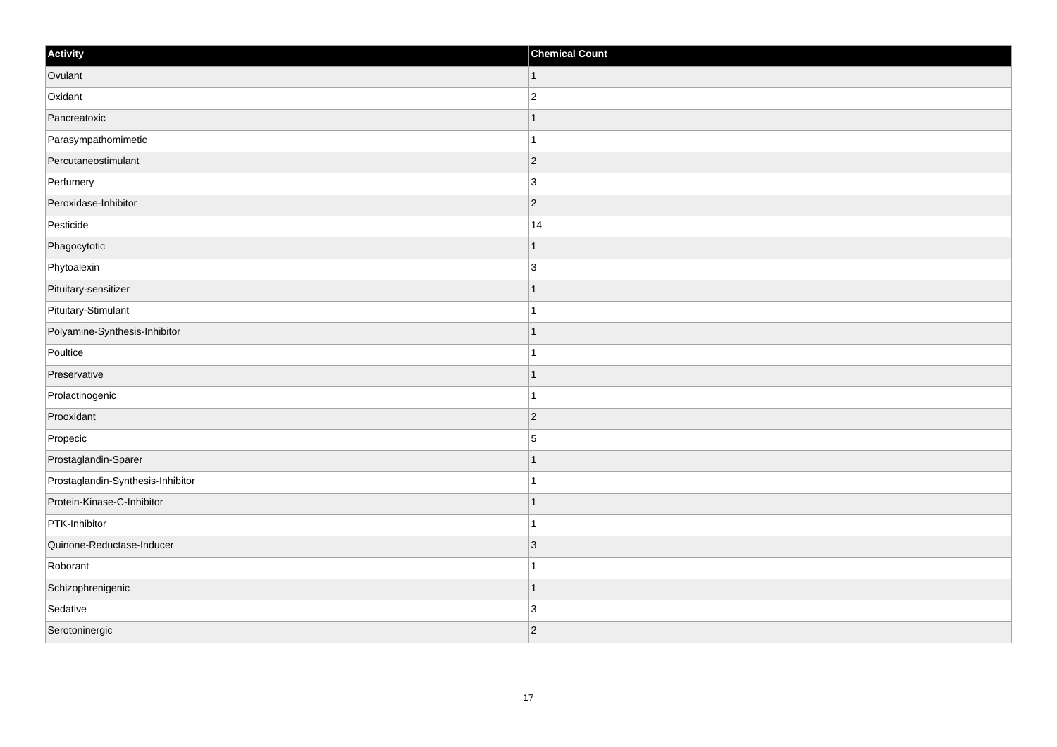| Activity                          | <b>Chemical Count</b> |
|-----------------------------------|-----------------------|
| Ovulant                           | $\vert$ 1             |
| Oxidant                           | $\overline{c}$        |
| Pancreatoxic                      |                       |
| Parasympathomimetic               |                       |
| Percutaneostimulant               | $\overline{2}$        |
| Perfumery                         | 3                     |
| Peroxidase-Inhibitor              | $\vert$ 2             |
| Pesticide                         | 14                    |
| Phagocytotic                      |                       |
| Phytoalexin                       | 3                     |
| Pituitary-sensitizer              |                       |
| Pituitary-Stimulant               |                       |
| Polyamine-Synthesis-Inhibitor     |                       |
| Poultice                          |                       |
| Preservative                      |                       |
| Prolactinogenic                   |                       |
| Prooxidant                        | $\overline{2}$        |
| Propecic                          | 5                     |
| Prostaglandin-Sparer              |                       |
| Prostaglandin-Synthesis-Inhibitor |                       |
| Protein-Kinase-C-Inhibitor        |                       |
| PTK-Inhibitor                     |                       |
| Quinone-Reductase-Inducer         | 3                     |
| Roborant                          |                       |
| Schizophrenigenic                 |                       |
| Sedative                          | $\overline{3}$        |
| Serotoninergic                    | $ 2\rangle$           |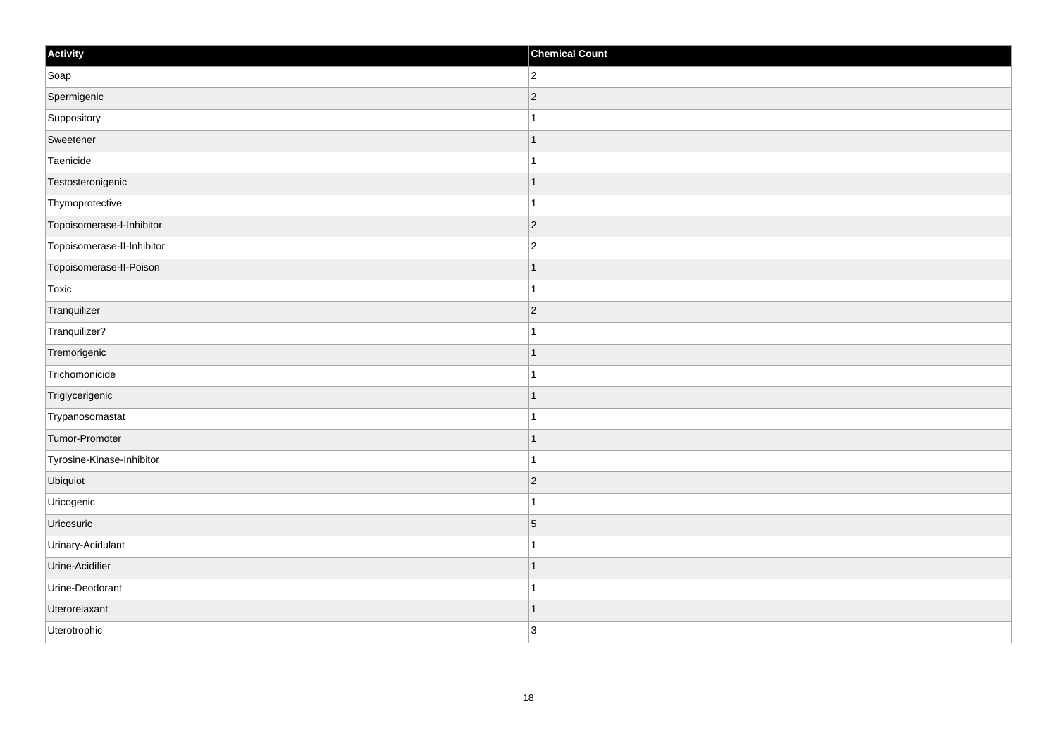| Activity                   | <b>Chemical Count</b>    |
|----------------------------|--------------------------|
| Soap                       | $\overline{2}$           |
| Spermigenic                | $\overline{2}$           |
| Suppository                |                          |
| Sweetener                  | -1                       |
| Taenicide                  | 1                        |
| Testosteronigenic          |                          |
| Thymoprotective            |                          |
| Topoisomerase-I-Inhibitor  | $\overline{2}$           |
| Topoisomerase-II-Inhibitor | $\overline{2}$           |
| Topoisomerase-II-Poison    | -1                       |
| Toxic                      | 1                        |
| Tranquilizer               | $\vert$ 2                |
| Tranquilizer?              |                          |
| Tremorigenic               |                          |
| Trichomonicide             |                          |
| Triglycerigenic            | $\overline{\phantom{a}}$ |
| Trypanosomastat            |                          |
| Tumor-Promoter             |                          |
| Tyrosine-Kinase-Inhibitor  |                          |
| Ubiquiot                   | $\overline{2}$           |
| Uricogenic                 |                          |
| Uricosuric                 | $\overline{5}$           |
| Urinary-Acidulant          |                          |
| Urine-Acidifier            |                          |
| Urine-Deodorant            |                          |
| Uterorelaxant              |                          |
| Uterotrophic               | 3                        |